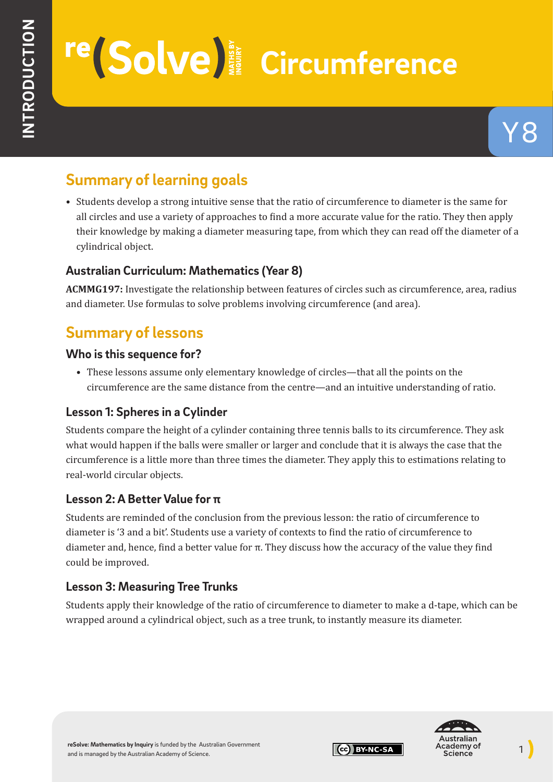# re (Solve)<sup>2</sup> Circumference

# **Summary of learning goals**

• Students develop a strong intuitive sense that the ratio of circumference to diameter is the same for all circles and use a variety of approaches to find a more accurate value for the ratio. They then apply their knowledge by making a diameter measuring tape, from which they can read off the diameter of a cylindrical object.

## **Australian Curriculum: Mathematics (Year 8)**

**ACMMG197:** Investigate the relationship between features of circles such as circumference, area, radius and diameter. Use formulas to solve problems involving circumference (and area).

# **Summary of lessons**

#### **Who is this sequence for?**

• These lessons assume only elementary knowledge of circles—that all the points on the circumference are the same distance from the centre—and an intuitive understanding of ratio.

## **Lesson 1: Spheres in a Cylinder**

Students compare the height of a cylinder containing three tennis balls to its circumference. They ask what would happen if the balls were smaller or larger and conclude that it is always the case that the circumference is a little more than three times the diameter. They apply this to estimations relating to real-world circular objects.

## **Lesson 2: A Better Value for π**

Students are reminded of the conclusion from the previous lesson: the ratio of circumference to diameter is '3 and a bit'. Students use a variety of contexts to find the ratio of circumference to diameter and, hence, find a better value for π. They discuss how the accuracy of the value they find could be improved.

# **Lesson 3: Measuring Tree Trunks**

Students apply their knowledge of the ratio of circumference to diameter to make a d-tape, which can be wrapped around a cylindrical object, such as a tree trunk, to instantly measure its diameter.